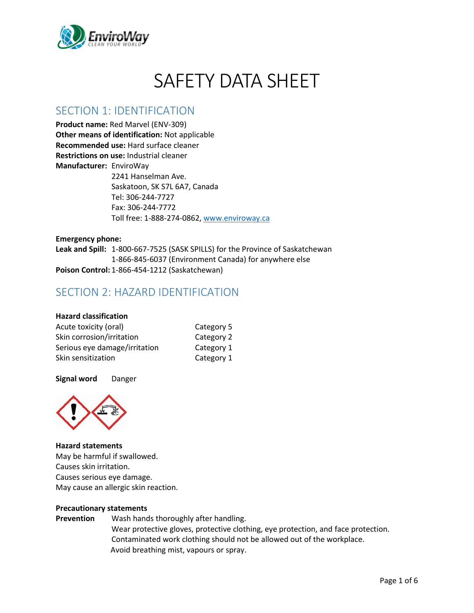

# SAFETY DATA SHEET

# SECTION 1: IDENTIFICATION

**Product name:** Red Marvel (ENV-309) **Other means of identification:** Not applicable **Recommended use:** Hard surface cleaner **Restrictions on use:** Industrial cleaner **Manufacturer:** EnviroWay 2241 Hanselman Ave. Saskatoon, SK S7L 6A7, Canada Tel: 306-244-7727 Fax: 306-244-7772 Toll free: 1-888-274-0862, [www.enviroway.ca](http://www.enviroway.ca/)

**Emergency phone: Leak and Spill:** 1-800-667-7525 (SASK SPILLS) for the Province of Saskatchewan 1-866-845-6037 (Environment Canada) for anywhere else **Poison Control:** 1-866-454-1212 (Saskatchewan)

# SECTION 2: HAZARD IDENTIFICATION

### **Hazard classification**

| Acute toxicity (oral)         | Category 5 |
|-------------------------------|------------|
| Skin corrosion/irritation     | Category 2 |
| Serious eye damage/irritation | Category 1 |
| Skin sensitization            | Category 1 |

### **Signal word** Danger



#### **Hazard statements**

May be harmful if swallowed. Causes skin irritation. Causes serious eye damage. May cause an allergic skin reaction.

#### **Precautionary statements**

**Prevention** Wash hands thoroughly after handling. Wear protective gloves, protective clothing, eye protection, and face protection. Contaminated work clothing should not be allowed out of the workplace. Avoid breathing mist, vapours or spray.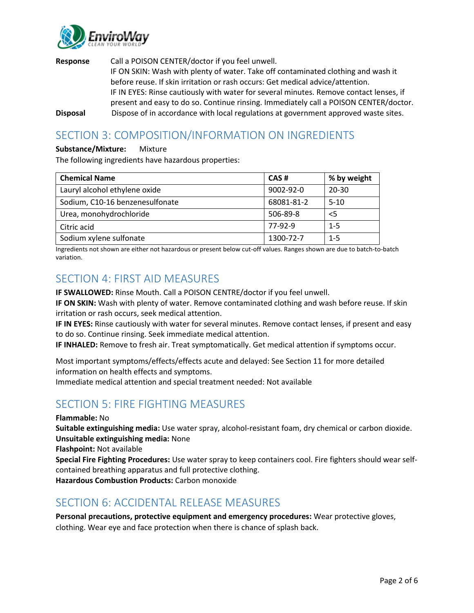

**Response** Call a POISON CENTER/doctor if you feel unwell. IF ON SKIN: Wash with plenty of water. Take off contaminated clothing and wash it before reuse. If skin irritation or rash occurs: Get medical advice/attention. IF IN EYES: Rinse cautiously with water for several minutes. Remove contact lenses, if present and easy to do so. Continue rinsing. Immediately call a POISON CENTER/doctor. **Disposal** Dispose of in accordance with local regulations at government approved waste sites.

# SECTION 3: COMPOSITION/INFORMATION ON INGREDIENTS

### **Substance/Mixture:** Mixture

The following ingredients have hazardous properties:

| <b>Chemical Name</b>            | CAS#            | % by weight |
|---------------------------------|-----------------|-------------|
| Lauryl alcohol ethylene oxide   | $9002 - 92 - 0$ | $20 - 30$   |
| Sodium, C10-16 benzenesulfonate | 68081-81-2      | $5 - 10$    |
| Urea, monohydrochloride         | 506-89-8        | $<$ 5       |
| Citric acid                     | 77-92-9         | $1 - 5$     |
| Sodium xylene sulfonate         | 1300-72-7       | $1 - 5$     |

Ingredients not shown are either not hazardous or present below cut-off values. Ranges shown are due to batch-to-batch variation.

### SECTION 4: FIRST AID MEASURES

**IF SWALLOWED:** Rinse Mouth. Call a POISON CENTRE/doctor if you feel unwell.

**IF ON SKIN:** Wash with plenty of water. Remove contaminated clothing and wash before reuse. If skin irritation or rash occurs, seek medical attention.

**IF IN EYES:** Rinse cautiously with water for several minutes. Remove contact lenses, if present and easy to do so. Continue rinsing. Seek immediate medical attention.

**IF INHALED:** Remove to fresh air. Treat symptomatically. Get medical attention if symptoms occur.

Most important symptoms/effects/effects acute and delayed: See Section 11 for more detailed information on health effects and symptoms.

Immediate medical attention and special treatment needed: Not available

# SECTION 5: FIRE FIGHTING MEASURES

**Flammable:** No

**Suitable extinguishing media:** Use water spray, alcohol-resistant foam, dry chemical or carbon dioxide. **Unsuitable extinguishing media:** None

**Flashpoint:** Not available

**Special Fire Fighting Procedures:** Use water spray to keep containers cool. Fire fighters should wear selfcontained breathing apparatus and full protective clothing.

**Hazardous Combustion Products:** Carbon monoxide

### SECTION 6: ACCIDENTAL RELEASE MEASURES

**Personal precautions, protective equipment and emergency procedures:** Wear protective gloves, clothing. Wear eye and face protection when there is chance of splash back.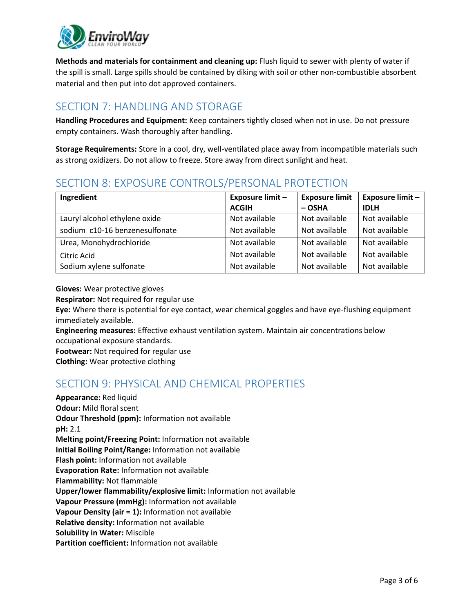

**Methods and materials for containment and cleaning up:** Flush liquid to sewer with plenty of water if the spill is small. Large spills should be contained by diking with soil or other non-combustible absorbent material and then put into dot approved containers.

# SECTION 7: HANDLING AND STORAGE

**Handling Procedures and Equipment:** Keep containers tightly closed when not in use. Do not pressure empty containers. Wash thoroughly after handling.

**Storage Requirements:** Store in a cool, dry, well-ventilated place away from incompatible materials such as strong oxidizers. Do not allow to freeze. Store away from direct sunlight and heat.

# SECTION 8: EXPOSURE CONTROLS/PERSONAL PROTECTION

| Ingredient                     | <b>Exposure limit -</b> | <b>Exposure limit</b> | <b>Exposure limit -</b> |
|--------------------------------|-------------------------|-----------------------|-------------------------|
|                                | <b>ACGIH</b>            | $-$ OSHA              | <b>IDLH</b>             |
| Lauryl alcohol ethylene oxide  | Not available           | Not available         | Not available           |
| sodium c10-16 benzenesulfonate | Not available           | Not available         | Not available           |
| Urea, Monohydrochloride        | Not available           | Not available         | Not available           |
| Citric Acid                    | Not available           | Not available         | Not available           |
| Sodium xylene sulfonate        | Not available           | Not available         | Not available           |

**Gloves:** Wear protective gloves

**Respirator:** Not required for regular use

**Eye:** Where there is potential for eye contact, wear chemical goggles and have eye-flushing equipment immediately available.

**Engineering measures:** Effective exhaust ventilation system. Maintain air concentrations below occupational exposure standards.

**Footwear:** Not required for regular use

**Clothing:** Wear protective clothing

# SECTION 9: PHYSICAL AND CHEMICAL PROPERTIES

**Appearance:** Red liquid **Odour:** Mild floral scent **Odour Threshold (ppm):** Information not available **pH:** 2.1 **Melting point/Freezing Point:** Information not available **Initial Boiling Point/Range:** Information not available **Flash point:** Information not available **Evaporation Rate:** Information not available **Flammability:** Not flammable **Upper/lower flammability/explosive limit:** Information not available **Vapour Pressure (mmHg):** Information not available **Vapour Density (air = 1):** Information not available **Relative density:** Information not available **Solubility in Water:** Miscible **Partition coefficient:** Information not available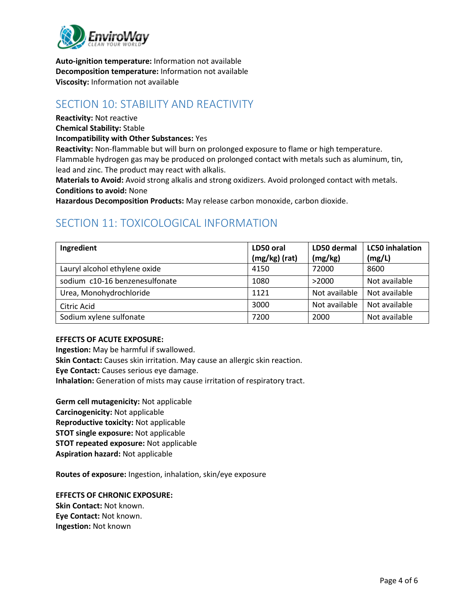

**Auto-ignition temperature:** Information not available **Decomposition temperature:** Information not available **Viscosity:** Information not available

### SECTION 10: STABILITY AND REACTIVITY

**Reactivity:** Not reactive

**Chemical Stability:** Stable

**Incompatibility with Other Substances:** Yes

**Reactivity:** Non-flammable but will burn on prolonged exposure to flame or high temperature. Flammable hydrogen gas may be produced on prolonged contact with metals such as aluminum, tin, lead and zinc. The product may react with alkalis.

**Materials to Avoid:** Avoid strong alkalis and strong oxidizers. Avoid prolonged contact with metals. **Conditions to avoid:** None

**Hazardous Decomposition Products:** May release carbon monoxide, carbon dioxide.

# SECTION 11: TOXICOLOGICAL INFORMATION

| Ingredient                     | LD50 oral     | LD50 dermal   | <b>LC50</b> inhalation |
|--------------------------------|---------------|---------------|------------------------|
|                                | (mg/kg) (rat) | (mg/kg)       | (mg/L)                 |
| Lauryl alcohol ethylene oxide  | 4150          | 72000         | 8600                   |
| sodium c10-16 benzenesulfonate | 1080          | >2000         | Not available          |
| Urea, Monohydrochloride        | 1121          | Not available | Not available          |
| Citric Acid                    | 3000          | Not available | Not available          |
| Sodium xylene sulfonate        | 7200          | 2000          | Not available          |

### **EFFECTS OF ACUTE EXPOSURE:**

**Ingestion:** May be harmful if swallowed. **Skin Contact:** Causes skin irritation. May cause an allergic skin reaction. **Eye Contact:** Causes serious eye damage. **Inhalation:** Generation of mists may cause irritation of respiratory tract.

**Germ cell mutagenicity:** Not applicable **Carcinogenicity:** Not applicable **Reproductive toxicity:** Not applicable **STOT single exposure:** Not applicable **STOT repeated exposure:** Not applicable **Aspiration hazard:** Not applicable

**Routes of exposure:** Ingestion, inhalation, skin/eye exposure

**EFFECTS OF CHRONIC EXPOSURE: Skin Contact:** Not known. **Eye Contact:** Not known. **Ingestion:** Not known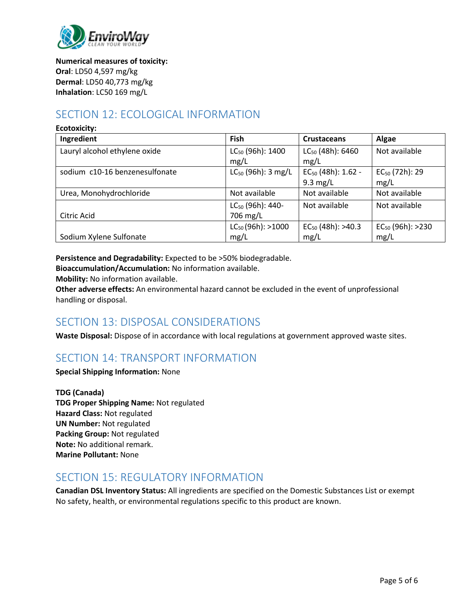

**Numerical measures of toxicity: Oral**: LD50 4,597 mg/kg **Dermal**: LD50 40,773 mg/kg **Inhalation**: LC50 169 mg/L

# SECTION 12: ECOLOGICAL INFORMATION

| <b>Ecotoxicity:</b>            |                                          |                                       |                                    |
|--------------------------------|------------------------------------------|---------------------------------------|------------------------------------|
| Ingredient                     | Fish                                     | <b>Crustaceans</b>                    | Algae                              |
| Lauryl alcohol ethylene oxide  | LC <sub>50</sub> (96h): 1400<br>mg/L     | LC <sub>50</sub> (48h): 6460<br>mg/L  | Not available                      |
| sodium c10-16 benzenesulfonate | $LC_{50}$ (96h): 3 mg/L                  | $EC_{50}$ (48h): 1.62 -<br>$9.3$ mg/L | EC <sub>50</sub> (72h): 29<br>mg/L |
| Urea, Monohydrochloride        | Not available                            | Not available                         | Not available                      |
| Citric Acid                    | LC <sub>50</sub> (96h): 440-<br>706 mg/L | Not available                         | Not available                      |
| Sodium Xylene Sulfonate        | $LC_{50}$ (96h): >1000<br>mg/L           | $EC_{50}$ (48h): >40.3<br>mg/L        | $EC_{50}$ (96h): >230<br>mg/L      |

**Persistence and Degradability:** Expected to be >50% biodegradable.

**Bioaccumulation/Accumulation:** No information available.

**Mobility:** No information available.

**Other adverse effects:** An environmental hazard cannot be excluded in the event of unprofessional handling or disposal.

# SECTION 13: DISPOSAL CONSIDERATIONS

**Waste Disposal:** Dispose of in accordance with local regulations at government approved waste sites.

# SECTION 14: TRANSPORT INFORMATION

**Special Shipping Information:** None

**TDG (Canada) TDG Proper Shipping Name:** Not regulated **Hazard Class:** Not regulated **UN Number:** Not regulated **Packing Group:** Not regulated **Note:** No additional remark. **Marine Pollutant:** None

### SECTION 15: REGULATORY INFORMATION

**Canadian DSL Inventory Status:** All ingredients are specified on the Domestic Substances List or exempt No safety, health, or environmental regulations specific to this product are known.